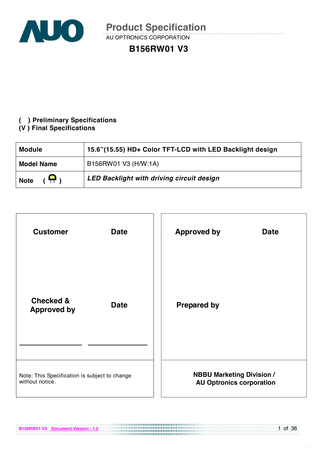

AU OPTRONICS CORPORATION

## **B156RW01 V3**

#### **( ) Preliminary Specifications**

#### **(V ) Final Specifications**

| <b>Module</b>               | 15.6"(15.55) HD+ Color TFT-LCD with LED Backlight design |  |  |  |
|-----------------------------|----------------------------------------------------------|--|--|--|
| <b>Model Name</b>           | B156RW01 V3 (H/W:1A)                                     |  |  |  |
| $\mathbf{P}$<br><b>Note</b> | LED Backlight with driving circuit design                |  |  |  |

| <b>Customer</b>                                                  | <b>Date</b> | <b>Approved by</b><br><b>Date</b>                                   |
|------------------------------------------------------------------|-------------|---------------------------------------------------------------------|
| <b>Checked &amp;</b><br><b>Approved by</b>                       | <b>Date</b> | <b>Prepared by</b>                                                  |
| Note: This Specification is subject to change<br>without notice. |             | <b>NBBU Marketing Division /</b><br><b>AU Optronics corporation</b> |

**B156RW01 V3** Document Version : 1.0

1 of 36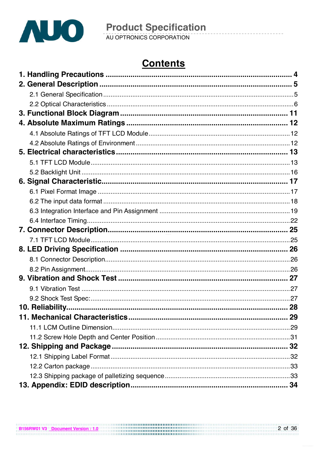

# **Contents**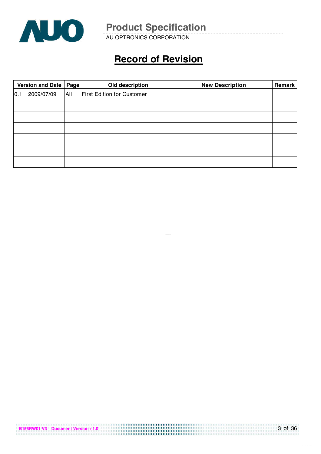

AU OPTRONICS CORPORATION

# **Record of Revision**

|     | Version and Date   Page |            | Old description                   | <b>New Description</b> | Remark |
|-----|-------------------------|------------|-----------------------------------|------------------------|--------|
| 0.1 | 2009/07/09              | <b>AII</b> | <b>First Edition for Customer</b> |                        |        |
|     |                         |            |                                   |                        |        |
|     |                         |            |                                   |                        |        |
|     |                         |            |                                   |                        |        |
|     |                         |            |                                   |                        |        |
|     |                         |            |                                   |                        |        |
|     |                         |            |                                   |                        |        |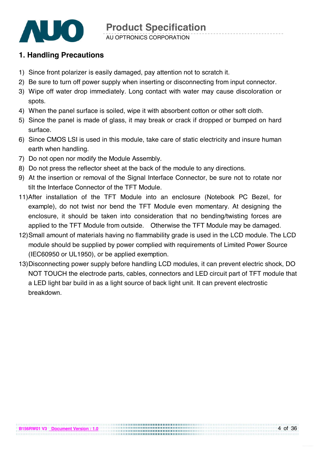

AU OPTRONICS CORPORATION

## **1. Handling Precautions**

- 1) Since front polarizer is easily damaged, pay attention not to scratch it.
- 2) Be sure to turn off power supply when inserting or disconnecting from input connector.
- 3) Wipe off water drop immediately. Long contact with water may cause discoloration or spots.
- 4) When the panel surface is soiled, wipe it with absorbent cotton or other soft cloth.
- 5) Since the panel is made of glass, it may break or crack if dropped or bumped on hard surface.
- 6) Since CMOS LSI is used in this module, take care of static electricity and insure human earth when handling.
- 7) Do not open nor modify the Module Assembly.
- 8) Do not press the reflector sheet at the back of the module to any directions.
- 9) At the insertion or removal of the Signal Interface Connector, be sure not to rotate nor tilt the Interface Connector of the TFT Module.
- 11)After installation of the TFT Module into an enclosure (Notebook PC Bezel, for example), do not twist nor bend the TFT Module even momentary. At designing the enclosure, it should be taken into consideration that no bending/twisting forces are applied to the TFT Module from outside. Otherwise the TFT Module may be damaged.
- 12) Small amount of materials having no flammability grade is used in the LCD module. The LCD module should be supplied by power complied with requirements of Limited Power Source (IEC60950 or UL1950), or be applied exemption.
- 13) Disconnecting power supply before handling LCD modules, it can prevent electric shock, DO NOT TOUCH the electrode parts, cables, connectors and LED circuit part of TFT module that a LED light bar build in as a light source of back light unit. It can prevent electrostic breakdown.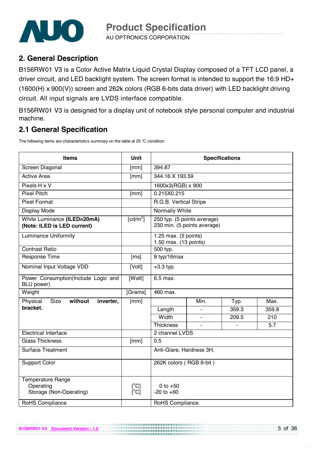

AU OPTRONICS CORPORATION

#### **2. General Description**

B156RW01 V3 is a Color Active Matrix Liquid Crystal Display composed of a TFT LCD panel, a driver circuit, and LED backlight system. The screen format is intended to support the 16:9 HD+ (1600(H) x 900(V)) screen and 262k colors (RGB 6-bits data driver) with LED backlight driving circuit. All input signals are LVDS interface compatible.

B156RW01 V3 is designed for a display unit of notebook style personal computer and industrial machine.

#### **2.1 General Specification**

The following items are characteristics summary on the table at 25 °C condition:

| <b>Items</b>                                                     | <b>Unit</b>                                         | <b>Specifications</b>                                      |                        |       |       |  |  |
|------------------------------------------------------------------|-----------------------------------------------------|------------------------------------------------------------|------------------------|-------|-------|--|--|
| Screen Diagonal                                                  | [mm]                                                | 394.87                                                     |                        |       |       |  |  |
| <b>Active Area</b>                                               | [mm]                                                | 344.16 X 193.59                                            |                        |       |       |  |  |
| Pixels H x V                                                     |                                                     | 1600x3(RGB) x 900                                          |                        |       |       |  |  |
| <b>Pixel Pitch</b>                                               | [mm]                                                | 0.215X0.215                                                |                        |       |       |  |  |
| <b>Pixel Format</b>                                              |                                                     | R.G.B. Vertical Stripe                                     |                        |       |       |  |  |
| <b>Display Mode</b>                                              |                                                     | <b>Normally White</b>                                      |                        |       |       |  |  |
| White Luminance (ILED=20mA)<br>(Note: ILED is LED current)       | $\lceil cd/m^2 \rceil$                              | 250 typ. (5 points average)<br>230 min. (5 points average) |                        |       |       |  |  |
| <b>Luminance Uniformity</b>                                      |                                                     | 1.25 max. (5 points)<br>1.50 max. (13 points)              |                        |       |       |  |  |
| <b>Contrast Ratio</b>                                            |                                                     | 500 typ.                                                   |                        |       |       |  |  |
| Response Time                                                    | [ms]                                                | 8 typ/16max                                                |                        |       |       |  |  |
| Nominal Input Voltage VDD                                        | [Volt]                                              | $+3.3$ typ.                                                |                        |       |       |  |  |
| Power Consumption(Include Logic and<br>BLU power)                | [Watt]                                              | 6.5 max.                                                   |                        |       |       |  |  |
| Weight                                                           | [Grams]                                             | 460 max.                                                   |                        |       |       |  |  |
| without<br>Physical<br>Size<br>inverter,                         | [mm]                                                |                                                            | Min.                   | Typ.  | Max.  |  |  |
| bracket.                                                         |                                                     | Length                                                     |                        | 359.3 | 359.8 |  |  |
|                                                                  |                                                     | Width                                                      |                        | 209.5 | 210   |  |  |
|                                                                  |                                                     | <b>Thickness</b>                                           |                        |       | 5.7   |  |  |
| <b>Electrical Interface</b>                                      |                                                     | 2 channel LVDS                                             |                        |       |       |  |  |
| <b>Glass Thickness</b>                                           | [mm]                                                | 0.5                                                        |                        |       |       |  |  |
| <b>Surface Treatment</b>                                         |                                                     | Anti-Glare, Hardness 3H,                                   |                        |       |       |  |  |
| <b>Support Color</b>                                             |                                                     | 262K colors (RGB 6-bit)                                    |                        |       |       |  |  |
| <b>Temperature Range</b><br>Operating<br>Storage (Non-Operating) | $\lceil{^{\circ}C}\rceil$<br>$\overline{C}^{\circ}$ | 0 to $+50$<br>$-20$ to $+60$                               |                        |       |       |  |  |
| RoHS Compliance                                                  |                                                     |                                                            | <b>RoHS Compliance</b> |       |       |  |  |

..............................

**B156RW01 V3 Document Version : 1.0**

5 of 36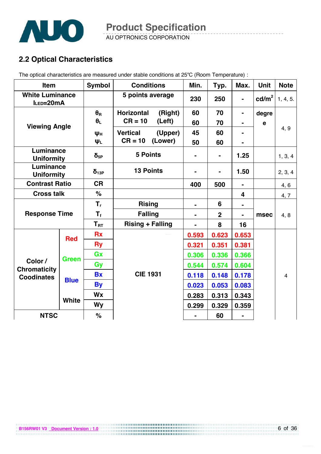

AU OPTRONICS CORPORATION

## **2.2 Optical Characteristics**

The optical characteristics are measured under stable conditions at 25°C (Room Temperature) :

| Item                                |              | <b>Symbol</b>           | <b>Conditions</b>       |         | Min.           | Typ.           | Max.           | <b>Unit</b>     | <b>Note</b>    |
|-------------------------------------|--------------|-------------------------|-------------------------|---------|----------------|----------------|----------------|-----------------|----------------|
| <b>White Luminance</b><br>ILED=20mA |              |                         | 5 points average        |         | 230            | 250            | $\blacksquare$ | $\text{cd/m}^2$ | 1, 4, 5.       |
|                                     |              | $\theta_{\rm R}$        | <b>Horizontal</b>       | (Right) | 60             | 70             |                | degre           |                |
| <b>Viewing Angle</b>                |              | $\theta_L$              | $CR = 10$               | (Left)  | 60             | 70             |                | $\mathbf e$     |                |
|                                     |              | Ψн                      | <b>Vertical</b>         | (Upper) | 45             | 60             |                |                 | 4, 9           |
|                                     |              | ΨL                      | $CR = 10$               | (Lower) | 50             | 60             | $\blacksquare$ |                 |                |
| Luminance<br><b>Uniformity</b>      |              | $\delta_{5P}$           | <b>5 Points</b>         |         |                | $\blacksquare$ | 1.25           |                 | 1, 3, 4        |
| Luminance<br><b>Uniformity</b>      |              | $\delta_{13P}$          | <b>13 Points</b>        |         |                |                | 1.50           |                 | 2, 3, 4        |
| <b>Contrast Ratio</b>               |              | <b>CR</b>               |                         |         | 400            | 500            | $\blacksquare$ |                 | 4, 6           |
| <b>Cross talk</b>                   |              | $\%$                    |                         |         |                |                | 4              |                 | 4,7            |
|                                     |              | T,                      | <b>Rising</b>           |         | $\blacksquare$ | $6\phantom{1}$ | $\blacksquare$ |                 |                |
| <b>Response Time</b>                |              | $\mathsf{T}_\mathsf{f}$ | <b>Falling</b>          |         | $\blacksquare$ | $\overline{2}$ | $\blacksquare$ | msec            | 4, 8           |
|                                     |              | $T_{\rm RT}$            | <b>Rising + Falling</b> |         |                | 8              | 16             |                 |                |
| <b>Red</b>                          |              | <b>Rx</b>               |                         |         | 0.593          | 0.623          | 0.653          |                 |                |
|                                     |              | <b>Ry</b>               |                         |         | 0.321          | 0.351          | 0.381          |                 |                |
|                                     | <b>Green</b> | Gx                      |                         |         | 0.306          | 0.336          | 0.366          |                 |                |
| Color /<br><b>Chromaticity</b>      |              | Gy                      |                         |         | 0.544          | 0.574          | 0.604          |                 |                |
| <b>Coodinates</b>                   |              | <b>Bx</b>               | <b>CIE 1931</b>         |         | 0.118          | 0.148          | 0.178          |                 | $\overline{4}$ |
|                                     | <b>Blue</b>  | <b>By</b>               |                         |         | 0.023          | 0.053          | 0.083          |                 |                |
|                                     |              | Wx                      |                         |         | 0.283          | 0.313          | 0.343          |                 |                |
|                                     | <b>White</b> | Wy                      |                         |         | 0.299          | 0.329          | 0.359          |                 |                |
| <b>NTSC</b>                         |              | $\frac{1}{2}$           |                         |         |                | 60             |                |                 |                |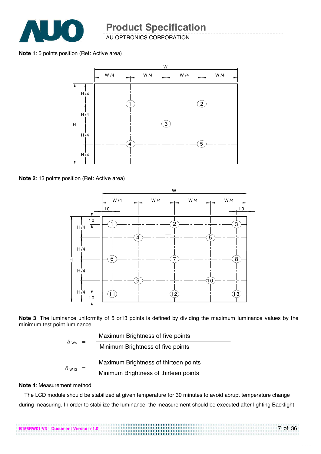

AU OPTRONICS CORPORATION

**Note 1**: 5 points position (Ref: Active area)



**Note 2**: 13 points position (Ref: Active area)





|                          | Maximum Brightness of five points     |
|--------------------------|---------------------------------------|
| $\delta$ w <sub>5</sub>  | Minimum Brightness of five points     |
|                          | Maximum Brightness of thirteen points |
| $\delta$ W <sub>13</sub> | Minimum Brightness of thirteen points |

#### **Note 4**: Measurement method

The LCD module should be stabilized at given temperature for 30 minutes to avoid abrupt temperature change during measuring. In order to stabilize the luminance, the measurement should be executed after lighting Backlight

7 of 36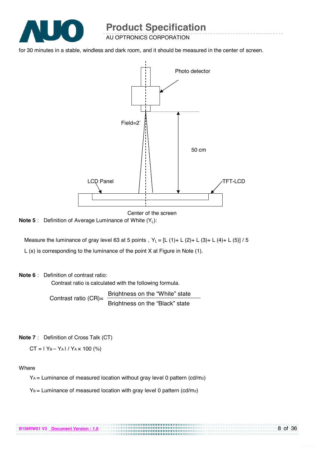

AU OPTRONICS CORPORATION

for 30 minutes in a stable, windless and dark room, and it should be measured in the center of screen.



Center of the screen

.................................

**Note 5**: Definition of Average Luminance of White (Y<sub>L</sub>):

Measure the luminance of gray level 63 at 5 points,  $Y_L = [L (1) + L (2) + L (3) + L (4) + L (5)] / 5$ 

L (x) is corresponding to the luminance of the point X at Figure in Note (1).

#### **Note 6**: Definition of contrast ratio:

Contrast ratio is calculated with the following formula.

Contrast ratio (CR)= Brightness on the "White" state Brightness on the "Black" state

#### **Note 7**: Definition of Cross Talk (CT)

 $CT = 1 Y_B - Y_A 1 / Y_A \times 100$  (%)

#### **Where**

 $Y_A$  = Luminance of measured location without gray level 0 pattern (cd/m2)

 $Y_B$  = Luminance of measured location with gray level 0 pattern (cd/m<sub>2</sub>)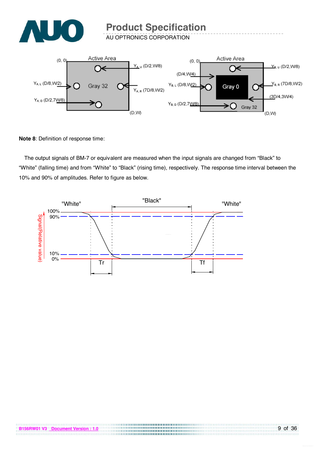

AU OPTRONICS CORPORATION



**Note 8**: Definition of response time:

The output signals of BM-7 or equivalent are measured when the input signals are changed from "Black" to "White" (falling time) and from "White" to "Black" (rising time), respectively. The response time interval between the 10% and 90% of amplitudes. Refer to figure as below.



.................................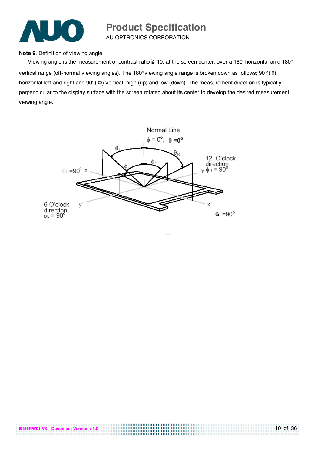

AU OPTRONICS CORPORATION

#### **Note 9**. Definition of viewing angle

Viewing angle is the measurement of contrast ratio  $\geq 10$ , at the screen center, over a 180° horizontal and 180° vertical range (off-normal viewing angles). The 180° viewing angle range is broken down as follows; 90 ° ( θ) horizontal left and right and 90° ( Φ) vertical, high (up) and low (down). The measurement direction is typically perpendicular to the display surface with the screen rotated about its center to develop the desired measurement viewing angle.

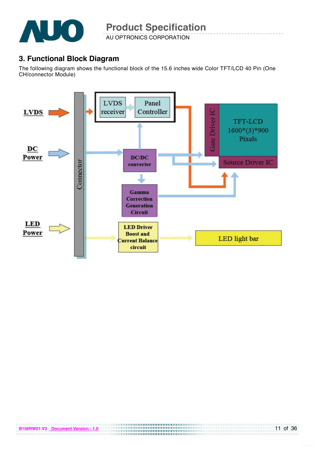

AU OPTRONICS CORPORATION

## **3. Functional Block Diagram**

The following diagram shows the functional block of the 15.6 inches wide Color TFT/LCD 40 Pin (One CH/connector Module)

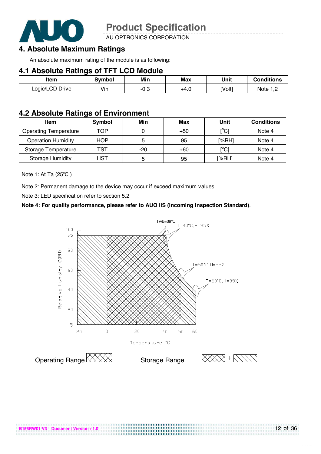

AU OPTRONICS CORPORATION

#### **4. Absolute Maximum Ratings**

An absolute maximum rating of the module is as following:

#### **4.1 Absolute Ratings of TFT LCD Module**

| ltem            | Svmbol | Min         | Max   | Unit   | <b>Conditions</b> |
|-----------------|--------|-------------|-------|--------|-------------------|
| Logic/LCD Drive | Vin    | ∩ ∩<br>-v.c | י 44. | [Volt] | Note              |

#### **4.2 Absolute Ratings of Environment**

| <b>Item</b>                  | Symbol     | Min | Max   | Unit                    | <b>Conditions</b> |
|------------------------------|------------|-----|-------|-------------------------|-------------------|
| <b>Operating Temperature</b> | TOP        |     | $+50$ | $\mathsf{I}^{\circ}$ Cl | Note 4            |
| <b>Operation Humidity</b>    | <b>HOP</b> |     | 95    | $N$ -RH $\overline{N}$  | Note 4            |
| Storage Temperature          | TST        | -20 | $+60$ | $\mathsf{I}^{\circ}$ Cl | Note 4            |
| <b>Storage Humidity</b>      | <b>HST</b> | ь   | 95    | [%RH]                   | Note 4            |

Note 1: At Ta (25°C)

Note 2: Permanent damage to the device may occur if exceed maximum values

Note 3: LED specification refer to section 5.2

#### **Note 4: For quality performance, please refer to AUO IIS (Incoming Inspection Standard)**.

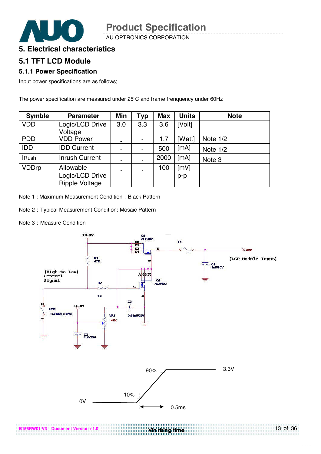

AU OPTRONICS CORPORATION

#### **5. Electrical characteristics**

#### **5.1 TFT LCD Module**

#### **5.1.1 Power Specification**

Input power specifications are as follows;

The power specification are measured under 25°C and frame frenquency under 60Hz

| <b>Symble</b> | <b>Parameter</b>      | Min                      | Typ | <b>Max</b> | <b>Units</b> | <b>Note</b>       |
|---------------|-----------------------|--------------------------|-----|------------|--------------|-------------------|
| <b>VDD</b>    | Logic/LCD Drive       | 3.0                      | 3.3 | 3.6        | [Volt]       |                   |
|               | Voltage               |                          |     |            |              |                   |
| <b>PDD</b>    | <b>VDD Power</b>      | -                        |     | 1.7        | [Watt]       | Note 1/2          |
| <b>IDD</b>    | <b>IDD Current</b>    | $\overline{\phantom{0}}$ |     | 500        | [mA]         | Note 1/2          |
| <b>IRush</b>  | <b>Inrush Current</b> |                          |     | 2000       | [MA]         | Note <sub>3</sub> |
| <b>VDDrp</b>  | Allowable             | ٠                        |     | 100        | [mV]         |                   |
|               | Logic/LCD Drive       |                          |     |            | $p-p$        |                   |
|               | <b>Ripple Voltage</b> |                          |     |            |              |                   |

Note 1: Maximum Measurement Condition: Black Pattern

- Note 2:Typical Measurement Condition: Mosaic Pattern
- Note 3: Measure Condition



13 of 36

Vin rising time **B156RW01 V3 Document Version : 1.0**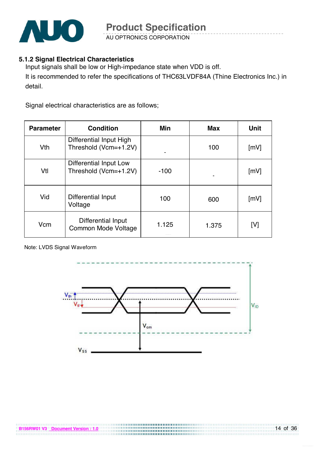

AU OPTRONICS CORPORATION

#### **5.1.2 Signal Electrical Characteristics**

Input signals shall be low or High-impedance state when VDD is off.

It is recommended to refer the specifications of THC63LVDF84A (Thine Electronics Inc.) in detail.

Signal electrical characteristics are as follows;

| <b>Parameter</b> | <b>Condition</b>                                 | Min    | <b>Max</b> | <b>Unit</b>        |
|------------------|--------------------------------------------------|--------|------------|--------------------|
| Vth              | Differential Input High<br>Threshold (Vcm=+1.2V) |        | 100        | [mV]               |
| Vtl              | Differential Input Low<br>Threshold (Vcm=+1.2V)  | $-100$ |            | $\lceil mV \rceil$ |
| Vid              | Differential Input<br>Voltage                    | 100    | 600        | $\lceil mV \rceil$ |
| Vcm              | Differential Input<br>Common Mode Voltage        | 1.125  | 1.375      | [V]                |

Note: LVDS Signal Waveform



...............................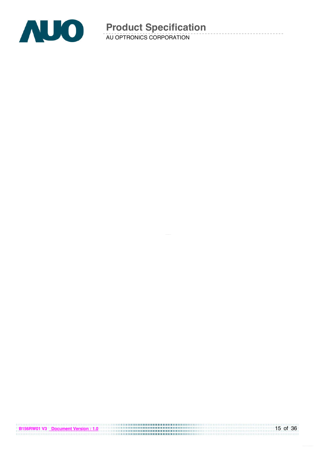

**B156RW01 V3** <u>Document Version : 1.0</u><br>**B156RW01 V3** Document Version : 1.0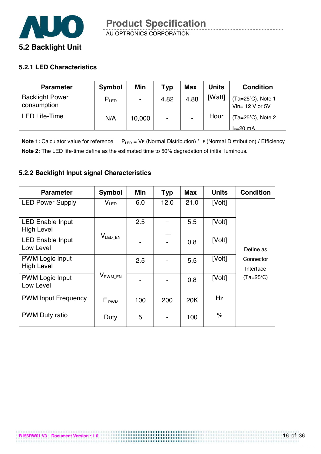

#### **5.2.1 LED Characteristics**

| <b>Parameter</b>                      | <b>Symbol</b>    | Min    | Typ  | <b>Max</b>               | <b>Units</b> | <b>Condition</b>                         |
|---------------------------------------|------------------|--------|------|--------------------------|--------------|------------------------------------------|
| <b>Backlight Power</b><br>consumption | P <sub>LED</sub> |        | 4.82 | 4.88                     | [Watt]       | (Ta=25°C), Note 1<br>Vin= $12$ V or $5V$ |
| <b>LED Life-Time</b>                  | N/A              | 10,000 | ۰    | $\overline{\phantom{0}}$ | Hour         | (Ta=25°C), Note 2<br>$I = 20$ mA         |

**Note 1:** Calculator value for reference  $P_{LED} = VF$  (Normal Distribution) \* IF (Normal Distribution) / Efficiency **Note 2:** The LED life-time define as the estimated time to 50% degradation of initial luminous.

#### **5.2.2 Backlight Input signal Characteristics**

| <b>Parameter</b>                             | <b>Symbol</b>       | Min | <b>Typ</b> | <b>Max</b> | <b>Units</b> | <b>Condition</b>       |  |
|----------------------------------------------|---------------------|-----|------------|------------|--------------|------------------------|--|
| <b>LED Power Supply</b>                      | $V_{LED}$           | 6.0 | 12.0       | 21.0       | [Volt]       |                        |  |
| <b>LED Enable Input</b><br><b>High Level</b> |                     | 2.5 |            | 5.5        | [Volt]       |                        |  |
| <b>LED Enable Input</b><br>Low Level         | $V_{LEDEN}$         |     |            | 0.8        | [Volt]       | Define as              |  |
| <b>PWM Logic Input</b><br><b>High Level</b>  |                     | 2.5 |            | 5.5        | [Volt]       | Connector<br>Interface |  |
| <b>PWM Logic Input</b><br>Low Level          | V <sub>PWM_EN</sub> |     |            | 0.8        | [Volt]       | $(Ta=25^{\circ}C)$     |  |
| <b>PWM Input Frequency</b>                   | $F_{PWM}$           | 100 | 200        | 20K        | Hz           |                        |  |
| <b>PWM Duty ratio</b>                        | Duty                | 5   |            | 100        | $\%$         |                        |  |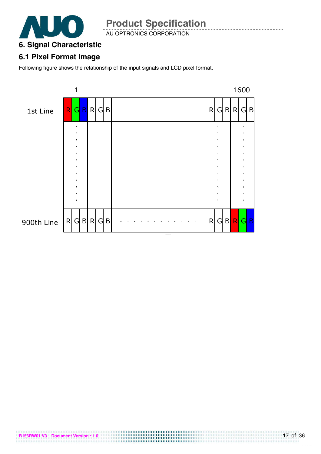

AU OPTRONICS CORPORATION

#### **6. Signal Characteristic**

#### **6.1 Pixel Format Image**

Following figure shows the relationship of the input signals and LCD pixel format.

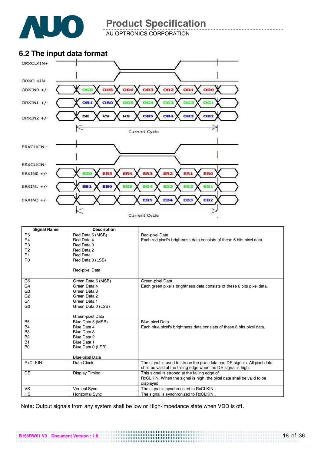

AU OPTRONICS CORPORATION

#### **6.2 The input data format**



| <b>Signal Name</b> | <b>Description</b>                   |                                                                                     |
|--------------------|--------------------------------------|-------------------------------------------------------------------------------------|
| R <sub>5</sub>     | Red Data 5 (MSB)                     | Red-pixel Data                                                                      |
| R <sub>4</sub>     | Red Data 4                           | Each red pixel's brightness data consists of these 6 bits pixel data.               |
| R <sub>3</sub>     | Red Data 3                           |                                                                                     |
| R <sub>2</sub>     | Red Data 2                           |                                                                                     |
| R1                 | Red Data 1                           |                                                                                     |
| R <sub>0</sub>     | Red Data 0 (LSB)                     |                                                                                     |
|                    |                                      |                                                                                     |
|                    | Red-pixel Data                       |                                                                                     |
|                    |                                      |                                                                                     |
| G <sub>5</sub>     | Green Data 5 (MSB)                   | Green-pixel Data                                                                    |
| G4                 | Green Data 4                         | Each green pixel's brightness data consists of these 6 bits pixel data.             |
| G <sub>3</sub>     | Green Data 3                         |                                                                                     |
| G <sub>2</sub>     | Green Data 2                         |                                                                                     |
| G <sub>1</sub>     | Green Data 1                         |                                                                                     |
| G <sub>0</sub>     | Green Data 0 (LSB)                   |                                                                                     |
|                    |                                      |                                                                                     |
|                    | Green-pixel Data                     |                                                                                     |
| <b>B5</b>          | Blue Data 5 (MSB)                    | <b>Blue-pixel Data</b>                                                              |
| <b>B4</b>          | Blue Data 4                          | Each blue pixel's brightness data consists of these 6 bits pixel data.              |
| B <sub>3</sub>     | Blue Data 3                          |                                                                                     |
| B <sub>2</sub>     | Blue Data 2                          |                                                                                     |
| <b>B1</b>          | Blue Data 1                          |                                                                                     |
| B <sub>0</sub>     | Blue Data 0 (LSB)                    |                                                                                     |
|                    |                                      |                                                                                     |
| <b>RxCLKIN</b>     | <b>Blue-pixel Data</b><br>Data Clock |                                                                                     |
|                    |                                      | The signal is used to strobe the pixel data and DE signals. All pixel data          |
|                    |                                      | shall be valid at the falling edge when the DE signal is high.                      |
| DE                 | <b>Display Timing</b>                | This signal is strobed at the falling edge of                                       |
|                    |                                      | RxCLKIN. When the signal is high, the pixel data shall be valid to be<br>displayed. |
| <b>VS</b>          | <b>Vertical Sync</b>                 | The signal is synchronized to RxCLKIN.                                              |
| <b>HS</b>          |                                      |                                                                                     |
|                    | Horizontal Sync                      | The signal is synchronized to RxCLKIN.                                              |

Note: Output signals from any system shall be low or High-impedance state when VDD is off.

**B156RW01 V3** <u>Document Version : 1.0</u> 18 Of 36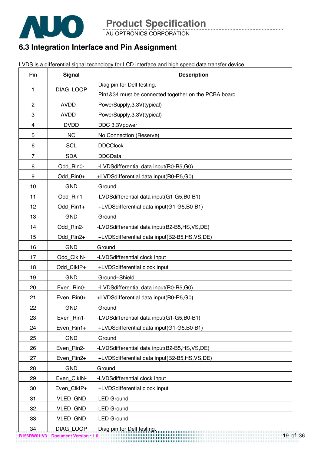

AU OPTRONICS CORPORATION

## **6.3 Integration Interface and Pin Assignment**

LVDS is a differential signal technology for LCD interface and high speed data transfer device.

| Pin            | <b>Signal</b> | <b>Description</b>                                   |
|----------------|---------------|------------------------------------------------------|
| 1              | DIAG_LOOP     | Diag pin for Dell testing.                           |
|                |               | Pin1&34 must be connected together on the PCBA board |
| $\overline{c}$ | <b>AVDD</b>   | PowerSupply, 3.3V(typical)                           |
| 3              | <b>AVDD</b>   | PowerSupply, 3.3V(typical)                           |
| 4              | <b>DVDD</b>   | DDC 3.3Vpower                                        |
| 5              | <b>NC</b>     | No Connection (Reserve)                              |
| 6              | <b>SCL</b>    | <b>DDCClock</b>                                      |
| $\overline{7}$ | <b>SDA</b>    | <b>DDCData</b>                                       |
| 8              | Odd_Rin0-     | -LVDSdifferential data input(R0-R5,G0)               |
| 9              | Odd_Rin0+     | +LVDSdifferential data input(R0-R5,G0)               |
| 10             | <b>GND</b>    | Ground                                               |
| 11             | Odd_Rin1-     | -LVDSdifferential data input(G1-G5,B0-B1)            |
| 12             | Odd_Rin1+     | +LVDSdifferential data input(G1-G5,B0-B1)            |
| 13             | <b>GND</b>    | Ground                                               |
| 14             | Odd_Rin2-     | -LVDSdifferential data input(B2-B5,HS,VS,DE)         |
| 15             | Odd_Rin2+     | +LVDSdifferential data input(B2-B5,HS,VS,DE)         |
| 16             | <b>GND</b>    | Ground                                               |
| 17             | Odd_ClkIN-    | -LVDSdifferential clock input                        |
| 18             | Odd_ClkIP+    | +LVDSdifferential clock input                        |
| 19             | <b>GND</b>    | Ground-Shield                                        |
| 20             | Even Rin0-    | -LVDSdifferential data input(R0-R5,G0)               |
| 21             | Even_Rin0+    | +LVDSdifferential data input(R0-R5,G0)               |
| 22             | <b>GND</b>    | Ground                                               |
| 23             | Even_Rin1-    | -LVDSdifferential data input(G1-G5,B0-B1)            |
| 24             | Even_Rin1+    | +LVDSdifferential data input(G1-G5,B0-B1)            |
| 25             | <b>GND</b>    | Ground                                               |
| 26             | Even_Rin2-    | -LVDSdifferential data input(B2-B5,HS,VS,DE)         |
| 27             | Even_Rin2+    | +LVDSdifferential data input(B2-B5,HS,VS,DE)         |
| 28             | <b>GND</b>    | Ground                                               |
| 29             | Even_ClkIN-   | -LVDSdifferential clock input                        |
| 30             | Even_ClkIP+   | +LVDSdifferential clock input                        |
| 31             | VLED_GND      | <b>LED Ground</b>                                    |
| 32             | VLED_GND      | <b>LED Ground</b>                                    |
| 33             | VLED_GND      | <b>LED Ground</b>                                    |
| 34             | DIAG_LOOP     | Diag pin for Dell testing.                           |

**B156RW01 V3 Document Version : 1.0** 19 of 36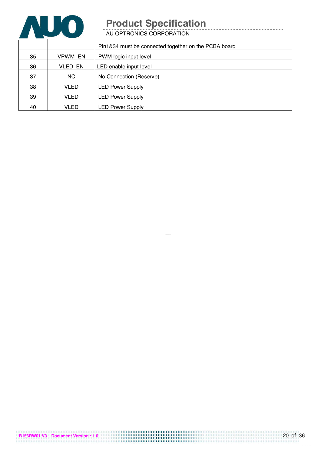

AU OPTRONICS CORPORATION

|    |         | Pin1&34 must be connected together on the PCBA board |
|----|---------|------------------------------------------------------|
| 35 | VPWM_EN | PWM logic input level                                |
| 36 | VLED_EN | LED enable input level                               |
| 37 | NC.     | No Connection (Reserve)                              |
| 38 | VLED    | <b>LED Power Supply</b>                              |
| 39 | VLED    | <b>LED Power Supply</b>                              |
| 40 | VLED    | <b>LED Power Supply</b>                              |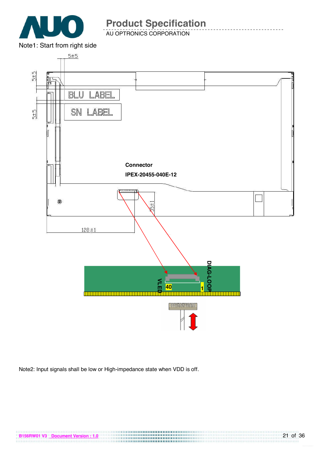

AU OPTRONICS CORPORATION



Note2: Input signals shall be low or High-impedance state when VDD is off.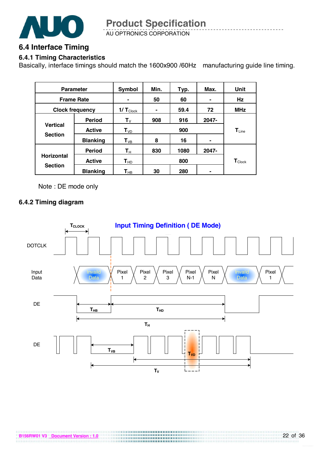

AU OPTRONICS CORPORATION **Product Specification** 

#### **6.4 Interface Timing**

#### **6.4.1 Timing Characteristics**

Basically, interface timings should match the 1600x900 /60Hz manufacturing guide line timing.

| <b>Parameter</b>                    |                 | Symbol                     | Min.           | Typ. | Max.  | Unit                        |
|-------------------------------------|-----------------|----------------------------|----------------|------|-------|-----------------------------|
| <b>Frame Rate</b>                   |                 | $\blacksquare$             | 50             | 60   |       | Hz                          |
| <b>Clock frequency</b>              |                 | $1/T_{\text{Clock}}$       | $\blacksquare$ | 59.4 | 72    | <b>MHz</b>                  |
| <b>Vertical</b><br><b>Section</b>   | <b>Period</b>   | ${\bf T}_{\sf V}$          | 908            | 916  | 2047- |                             |
|                                     | <b>Active</b>   | $T_{VD}$                   |                | 900  |       | $T_{Line}$                  |
|                                     | <b>Blanking</b> | $T_{VB}$                   | 8              | 16   | -     |                             |
| <b>Horizontal</b><br><b>Section</b> | <b>Period</b>   | $\mathsf{T}_\mathsf{H}$    | 830            | 1080 | 2047- |                             |
|                                     | <b>Active</b>   | $T_{HD}$                   |                | 800  |       | $\mathbf{T}_{\text{Clock}}$ |
|                                     | <b>Blanking</b> | $\mathsf{T}_{\mathsf{HB}}$ | 30             | 280  |       |                             |

Note : DE mode only

#### **6.4.2 Timing diagram**

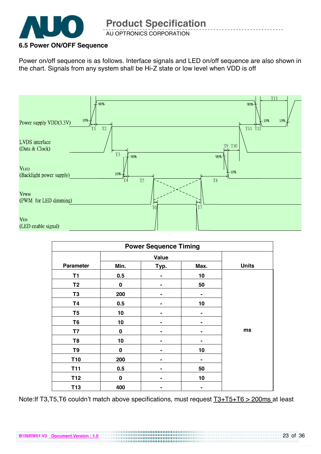

#### **6.5 Power ON/OFF Sequence**

Power on/off sequence is as follows. Interface signals and LED on/off sequence are also shown in the chart. Signals from any system shall be Hi-Z state or low level when VDD is off



|                  | <b>Power Sequence Timing</b> |              |                |              |  |
|------------------|------------------------------|--------------|----------------|--------------|--|
|                  |                              | <b>Value</b> |                |              |  |
| <b>Parameter</b> | Min.                         | Typ.         | Max.           | <b>Units</b> |  |
| T1               | 0.5                          |              | 10             |              |  |
| T <sub>2</sub>   | $\bf{0}$                     |              | 50             |              |  |
| T <sub>3</sub>   | 200                          |              |                |              |  |
| <b>T4</b>        | 0.5                          |              | 10             |              |  |
| T <sub>5</sub>   | 10                           |              | $\blacksquare$ |              |  |
| T <sub>6</sub>   | 10                           |              |                |              |  |
| T7               | 0                            |              |                | ms           |  |
| T <sub>8</sub>   | 10                           |              |                |              |  |
| T9               | 0                            |              | 10             |              |  |
| T <sub>10</sub>  | 200                          |              |                |              |  |
| <b>T11</b>       | 0.5                          |              | 50             |              |  |
| T <sub>12</sub>  | $\bf{0}$                     |              | 10             |              |  |
| T <sub>13</sub>  | 400                          |              |                |              |  |

Note:If T3,T5,T6 couldn't match above specifications, must request T3+T5+T6 > 200ms at least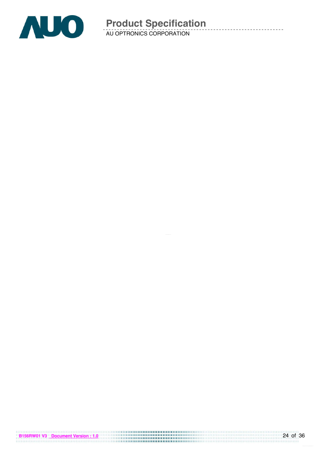

**B156RW01 V3 Document Version : 1.0** 24 of 36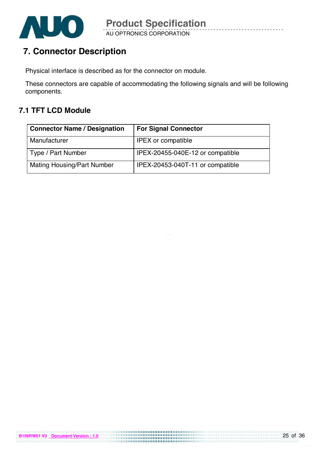

## **7. Connector Description**

Physical interface is described as for the connector on module.

These connectors are capable of accommodating the following signals and will be following components.

## **7.1 TFT LCD Module**

| <b>Connector Name / Designation</b> | <b>For Signal Connector</b>      |
|-------------------------------------|----------------------------------|
| Manufacturer                        | <b>IPEX</b> or compatible        |
| Type / Part Number                  | IPEX-20455-040E-12 or compatible |
| <b>Mating Housing/Part Number</b>   | IPEX-20453-040T-11 or compatible |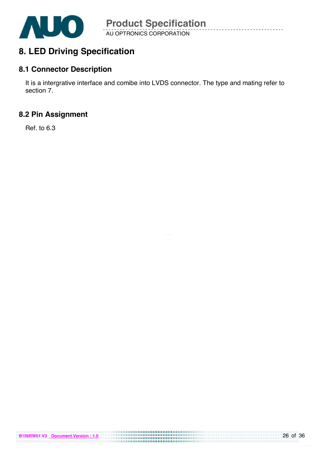

## **8. LED Driving Specification**

#### **8.1 Connector Description**

It is a intergrative interface and comibe into LVDS connector. The type and mating refer to section 7.

## **8.2 Pin Assignment**

Ref. to 6.3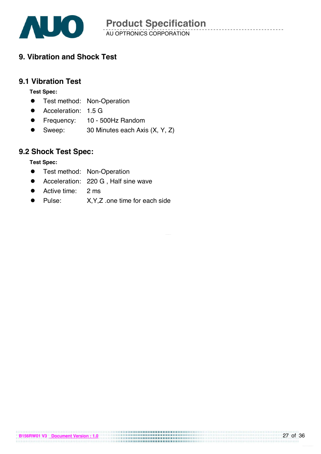

### **9. Vibration and Shock Test**

#### **9.1 Vibration Test**

**Test Spec:** 

- **•** Test method: Non-Operation
- **•** Acceleration: 1.5 G
- Frequency: 10 500Hz Random
- Sweep: 30 Minutes each Axis (X, Y, Z)

#### **9.2 Shock Test Spec:**

**Test Spec:** 

- **•** Test method: Non-Operation
- ! Acceleration: 220 G , Half sine wave
- Active time: 2 ms
- Pulse: X, Y, Z .one time for each side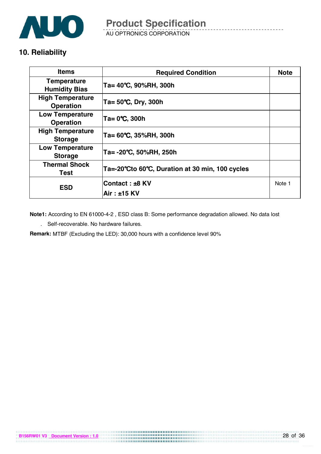

AU OPTRONICS CORPORATION **Product Specification** 

#### **10. Reliability**

| <b>Items</b>                                | <b>Required Condition</b>                       | <b>Note</b> |
|---------------------------------------------|-------------------------------------------------|-------------|
| <b>Temperature</b><br><b>Humidity Bias</b>  | Ta= 40°C, 90%RH, 300h                           |             |
| <b>High Temperature</b><br><b>Operation</b> | Ta= 50°C, Dry, 300h                             |             |
| <b>Low Temperature</b><br><b>Operation</b>  | Ta= 0°C, 300h                                   |             |
| <b>High Temperature</b><br><b>Storage</b>   | Ta= 60°C, 35%RH, 300h                           |             |
| <b>Low Temperature</b><br><b>Storage</b>    | Ta= -20°C, 50%RH, 250h                          |             |
| <b>Thermal Shock</b><br>Test                | Ta=-20°Cto 60°C, Duration at 30 min, 100 cycles |             |
| <b>ESD</b>                                  | Contact : ±8 KV                                 | Note 1      |
|                                             | lAir : ±15 KV                                   |             |

**Note1:** According to EN 61000-4-2 , ESD class B: Some performance degradation allowed. No data lost

. Self-recoverable. No hardware failures.

**Remark:** MTBF (Excluding the LED): 30,000 hours with a confidence level 90%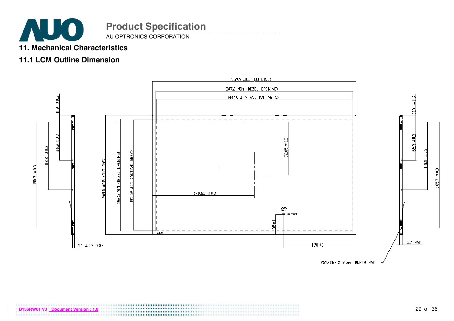

AU OPTRONICS CORPORATION

#### **11. Mechanical Characteristics**

#### **11.1 LCM Outline Dimension**

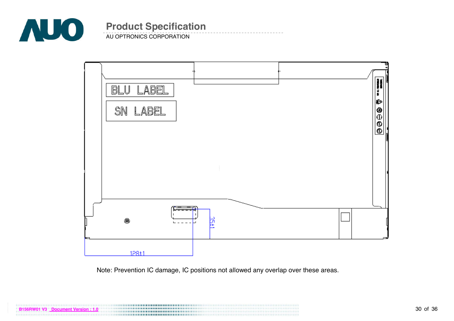

AU OPTRONICS CORPORATION



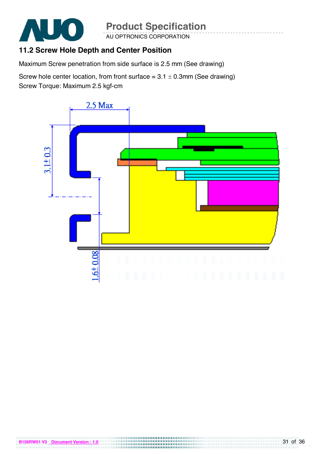

AU OPTRONICS CORPORATION

## **11.2 Screw Hole Depth and Center Position**

Maximum Screw penetration from side surface is 2.5 mm (See drawing)

Screw hole center location, from front surface =  $3.1 \pm 0.3$ mm (See drawing) Screw Torque: Maximum 2.5 kgf-cm

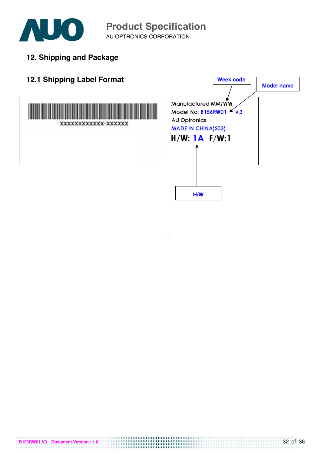

AU OPTRONICS CORPORATION

**12. Shipping and Package**

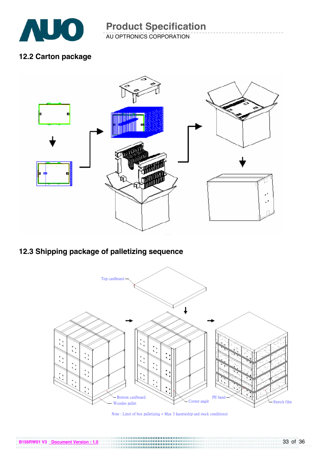

AU OPTRONICS CORPORATION **Product Specification** 

#### **12.2 Carton package**



### **12.3 Shipping package of palletizing sequence**



Note: Limit of box palletizing  $=$  Max 3 layers(ship and stock conditions)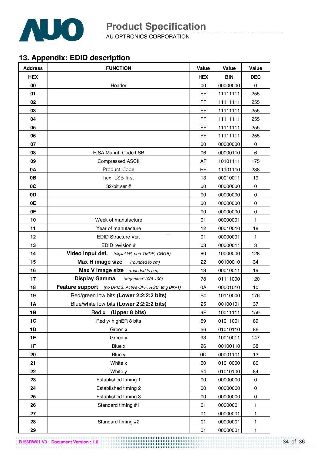

AU OPTRONICS CORPORATION

## **13. Appendix: EDID description**

| <b>Address</b> | <b>FUNCTION</b>                                       | Value          | Value      | Value            |
|----------------|-------------------------------------------------------|----------------|------------|------------------|
| <b>HEX</b>     |                                                       | <b>HEX</b>     | <b>BIN</b> | <b>DEC</b>       |
| 00             | Header                                                | 00             | 00000000   | 0                |
| 01             |                                                       | <b>FF</b>      | 11111111   | 255              |
| 02             |                                                       | FF.            | 11111111   | 255              |
| 03             |                                                       | <b>FF</b>      | 11111111   | 255              |
| 04             |                                                       | FF.            | 11111111   | 255              |
| 05             |                                                       | FF             | 11111111   | 255              |
| 06             |                                                       | <b>FF</b>      | 11111111   | 255              |
| 07             |                                                       | 00             | 00000000   | 0                |
| 08             | EISA Manuf. Code LSB                                  | 06             | 00000110   | $\,6\,$          |
| 09             | <b>Compressed ASCII</b>                               | AF             | 10101111   | 175              |
| 0A             | Product Code                                          | EE             | 11101110   | 238              |
| 0B             | hex, LSB first                                        | 13             | 00010011   | 19               |
| 0C             | 32-bit ser #                                          | 00             | 00000000   | 0                |
| 0D             |                                                       | 00             | 00000000   | 0                |
| 0E             |                                                       | 00             | 00000000   | 0                |
| 0F             |                                                       | 00             | 00000000   | $\pmb{0}$        |
| 10             | Week of manufacture                                   | 01             | 00000001   | 1                |
| 11             | Year of manufacture                                   | 12             | 00010010   | 18               |
| 12             | EDID Structure Ver.                                   | 01             | 00000001   | 1                |
| 13             | EDID revision #                                       | 03             | 00000011   | $\boldsymbol{3}$ |
| 14             | Video input def. (digital I/P, non-TMDS, CRGB)        | 80             | 10000000   | 128              |
| 15             | Max H image size<br>(rounded to cm)                   | 22             | 00100010   | 34               |
| 16             | Max V image size<br>(rounded to cm)                   | 13             | 00010011   | 19               |
| 17             | <b>Display Gamma</b><br>$( = (gamma * 100) - 100)$    | 78             | 01111000   | 120              |
| 18             | Feature support (no DPMS, Active OFF, RGB, tmg Blk#1) | 0A             | 00001010   | 10               |
| 19             | Red/green low bits (Lower 2:2:2:2 bits)               | B <sub>0</sub> | 10110000   | 176              |
| 1A             | Blue/white low bits (Lower 2:2:2:2 bits)              | 25             | 00100101   | 37               |
| 1B             | Red x<br>(Upper 8 bits)                               | 9F             | 10011111   | 159              |
| 1C             | Red y/ highER 8 bits                                  | 59             | 01011001   | 89               |
| 1D             | Green x                                               | 56             | 01010110   | 86               |
| 1E             | Green y                                               | 93             | 10010011   | 147              |
| 1F             | Blue x                                                | 26             | 00100110   | 38               |
| 20             | Blue y                                                | 0D             | 00001101   | 13               |
| 21             | White x                                               | 50             | 01010000   | 80               |
| 22             | White y                                               | 54             | 01010100   | 84               |
| 23             | Established timing 1                                  | 00             | 00000000   | $\pmb{0}$        |
| 24             | Established timing 2                                  | 00             | 00000000   | $\pmb{0}$        |
| 25             | Established timing 3                                  | 00             | 00000000   | 0                |
| 26             | Standard timing #1                                    | 01             | 00000001   | 1                |
| 27             |                                                       | 01             | 00000001   | 1                |
| 28             | Standard timing #2                                    | 01             | 00000001   | 1                |
| 29             |                                                       | 01             | 00000001   | 1                |

**B156RW01 V3** Document Version : 1.0 **34 of 36** 36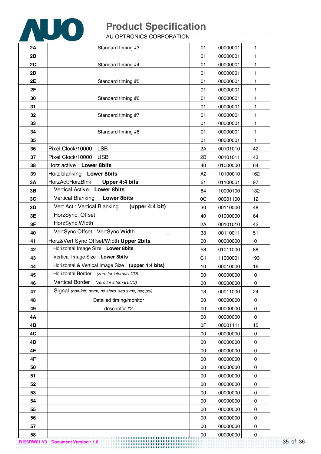

AU OPTRONICS CORPORATION

| 2A        | Standard timing #3                                   | 01             | 00000001 | 1            |
|-----------|------------------------------------------------------|----------------|----------|--------------|
| 2B        |                                                      | 01             | 00000001 | 1            |
| 2C        | Standard timing #4                                   | 01             | 00000001 | 1            |
| 2D        |                                                      | 01             | 00000001 | 1            |
| <b>2E</b> | Standard timing #5                                   | 01             | 00000001 | 1            |
| 2F        |                                                      | 01             | 00000001 | $\mathbf{1}$ |
| 30        | Standard timing #6                                   | 01             | 00000001 | 1            |
| 31        |                                                      | 01             | 00000001 | 1            |
| 32        | Standard timing #7                                   | 01             | 00000001 | 1            |
| 33        |                                                      | 01             | 00000001 | 1            |
| 34        | Standard timing #8                                   | 01             | 00000001 | 1            |
| 35        |                                                      | 01             | 00000001 | 1            |
| 36        | <b>LSB</b><br>Pixel Clock/10000                      | 2A             | 00101010 | 42           |
| 37        | Pixel Clock/10000<br><b>USB</b>                      | 2B             | 00101011 | 43           |
| 38        | Horz active Lower 8bits                              | 40             | 01000000 | 64           |
| 39        | Horz blanking Lower 8bits                            | A <sub>2</sub> | 10100010 | 162          |
| 3A        | HorzAct:HorzBlnk<br>Upper 4:4 bits                   | 61             | 01100001 | 97           |
| 3B        | <b>Lower 8bits</b><br><b>Vertical Active</b>         | 84             | 10000100 | 132          |
| 3C        | <b>Vertical Blanking</b><br><b>Lower 8bits</b>       | 0C             | 00001100 | 12           |
| 3D        | Vert Act: Vertical Blanking<br>(upper 4:4 bit)       | 30             | 00110000 | 48           |
| 3E        | HorzSync. Offset                                     | 40             | 01000000 | 64           |
| 3F        | HorzSync. Width                                      | 2A             | 00101010 | 42           |
| 40        | VertSync.Offset: VertSync.Width                      | 33             | 00110011 | 51           |
| 41        | Horz‖ Sync Offset/Width Upper 2bits                  | 00             | 00000000 | 0            |
| 42        | Horizontal Image Size Lower 8bits                    | 58             | 01011000 | 88           |
| 43        | Vertical Image Size Lower 8bits                      | C <sub>1</sub> | 11000001 | 193          |
| 44        | Horizontal & Vertical Image Size (upper 4:4 bits)    | 10             | 00010000 | 16           |
| 45        | Horizontal Border (zero for internal LCD)            | 00             | 00000000 | $\pmb{0}$    |
| 46        | <b>Vertical Border</b><br>(zero for internal LCD)    | 00             | 00000000 | $\pmb{0}$    |
| 47        | Signal (non-intr, norm, no stero, sep sync, neg pol) | 18             | 00011000 | 24           |
| 48        | Detailed timing/monitor                              | 00             | 00000000 | $\pmb{0}$    |
| 49        | descriptor #2                                        | 00             | 00000000 | 0            |
| 4A        |                                                      | 00             | 00000000 | $\pmb{0}$    |
| 4B        |                                                      | 0F             | 00001111 | 15           |
| 4C        |                                                      | 00             | 00000000 | $\pmb{0}$    |
| 4D        |                                                      | 00             | 00000000 | $\pmb{0}$    |
| 4E        |                                                      | 00             | 00000000 | 0            |
| 4F        |                                                      | 00             | 00000000 | $\pmb{0}$    |
| 50        |                                                      | 00             | 00000000 | 0            |
| 51        |                                                      | 00             | 00000000 | $\pmb{0}$    |
| 52        |                                                      | 00             | 00000000 | 0            |
| 53        |                                                      | 00             | 00000000 | 0            |
| 54        |                                                      | 00             | 00000000 | $\pmb{0}$    |
| 55        |                                                      | 00             | 00000000 | 0            |
| 56        |                                                      | 00             | 00000000 | $\pmb{0}$    |
| 57        |                                                      | 00             | 00000000 | $\pmb{0}$    |
| 58        |                                                      | $00\,$         | 00000000 | $\mathbf 0$  |

**B156RW01 V3 Document Version : 1.0** 35 of 36